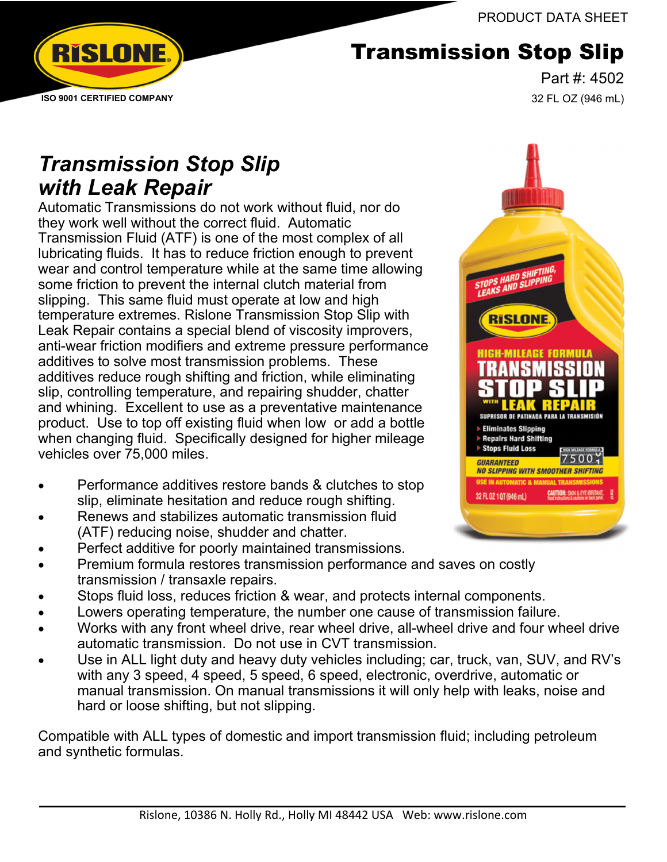PRODUCT DATA SHEET



# Transmission Stop Slip

Part #: 4502 32 FL OZ (946 mL)

# *Transmission Stop Slip with Leak Repair*

Automatic Transmissions do not work without fluid, nor do they work well without the correct fluid. Automatic Transmission Fluid (ATF) is one of the most complex of all lubricating fluids. It has to reduce friction enough to prevent wear and control temperature while at the same time allowing some friction to prevent the internal clutch material from slipping. This same fluid must operate at low and high temperature extremes. Rislone Transmission Stop Slip with Leak Repair contains a special blend of viscosity improvers, anti-wear friction modifiers and extreme pressure performance additives to solve most transmission problems. These additives reduce rough shifting and friction, while eliminating slip, controlling temperature, and repairing shudder, chatter and whining. Excellent to use as a preventative maintenance product. Use to top off existing fluid when low or add a bottle when changing fluid. Specifically designed for higher mileage vehicles over 75,000 miles.

- Performance additives restore bands & clutches to stop slip, eliminate hesitation and reduce rough shifting.
- Renews and stabilizes automatic transmission fluid (ATF) reducing noise, shudder and chatter.
- Perfect additive for poorly maintained transmissions.
- Premium formula restores transmission performance and saves on costly transmission / transaxle repairs.
- Stops fluid loss, reduces friction & wear, and protects internal components.
- Lowers operating temperature, the number one cause of transmission failure.
- Works with any front wheel drive, rear wheel drive, all-wheel drive and four wheel drive automatic transmission. Do not use in CVT transmission.
- Use in ALL light duty and heavy duty vehicles including; car, truck, van, SUV, and RV's with any 3 speed, 4 speed, 5 speed, 6 speed, electronic, overdrive, automatic or manual transmission. On manual transmissions it will only help with leaks, noise and hard or loose shifting, but not slipping.

Compatible with ALL types of domestic and import transmission fluid; including petroleum and synthetic formulas.